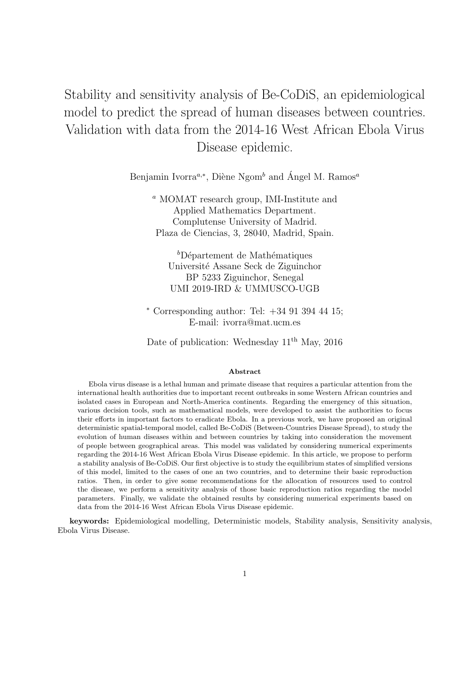# Stability and sensitivity analysis of Be-CoDiS, an epidemiological model to predict the spread of human diseases between countries. Validation with data from the 2014-16 West African Ebola Virus Disease epidemic.

Benjamin Ivorra<sup>a,∗</sup>, Diène Ngom<sup>b</sup> and Ángel M. Ramos<sup>a</sup>

<sup>a</sup> MOMAT research group, IMI-Institute and Applied Mathematics Department. Complutense University of Madrid. Plaza de Ciencias, 3, 28040, Madrid, Spain.

 ${}^b$ Département de Mathématiques Universit´e Assane Seck de Ziguinchor BP 5233 Ziguinchor, Senegal UMI 2019-IRD & UMMUSCO-UGB

<sup>∗</sup> Corresponding author: Tel: +34 91 394 44 15; E-mail: ivorra@mat.ucm.es

Date of publication: Wednesday  $11<sup>th</sup>$  May, 2016

#### Abstract

Ebola virus disease is a lethal human and primate disease that requires a particular attention from the international health authorities due to important recent outbreaks in some Western African countries and isolated cases in European and North-America continents. Regarding the emergency of this situation, various decision tools, such as mathematical models, were developed to assist the authorities to focus their efforts in important factors to eradicate Ebola. In a previous work, we have proposed an original deterministic spatial-temporal model, called Be-CoDiS (Between-Countries Disease Spread), to study the evolution of human diseases within and between countries by taking into consideration the movement of people between geographical areas. This model was validated by considering numerical experiments regarding the 2014-16 West African Ebola Virus Disease epidemic. In this article, we propose to perform a stability analysis of Be-CoDiS. Our first objective is to study the equilibrium states of simplified versions of this model, limited to the cases of one an two countries, and to determine their basic reproduction ratios. Then, in order to give some recommendations for the allocation of resources used to control the disease, we perform a sensitivity analysis of those basic reproduction ratios regarding the model parameters. Finally, we validate the obtained results by considering numerical experiments based on data from the 2014-16 West African Ebola Virus Disease epidemic.

keywords: Epidemiological modelling, Deterministic models, Stability analysis, Sensitivity analysis, Ebola Virus Disease.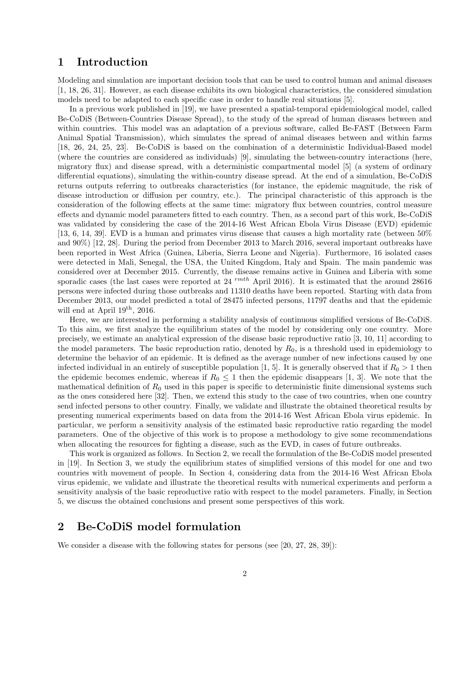## 1 Introduction

Modeling and simulation are important decision tools that can be used to control human and animal diseases [1, 18, 26, 31]. However, as each disease exhibits its own biological characteristics, the considered simulation models need to be adapted to each specific case in order to handle real situations [5].

In a previous work published in [19], we have presented a spatial-temporal epidemiological model, called Be-CoDiS (Between-Countries Disease Spread), to the study of the spread of human diseases between and within countries. This model was an adaptation of a previous software, called Be-FAST (Between Farm Animal Spatial Transmission), which simulates the spread of animal diseases between and within farms [18, 26, 24, 25, 23]. Be-CoDiS is based on the combination of a deterministic Individual-Based model (where the countries are considered as individuals) [9], simulating the between-country interactions (here, migratory flux) and disease spread, with a deterministic compartmental model [5] (a system of ordinary differential equations), simulating the within-country disease spread. At the end of a simulation, Be-CoDiS returns outputs referring to outbreaks characteristics (for instance, the epidemic magnitude, the risk of disease introduction or diffusion per country, etc.). The principal characteristic of this approach is the consideration of the following effects at the same time: migratory flux between countries, control measure effects and dynamic model parameters fitted to each country. Then, as a second part of this work, Be-CoDiS was validated by considering the case of the 2014-16 West African Ebola Virus Disease (EVD) epidemic [13, 6, 14, 39]. EVD is a human and primates virus disease that causes a high mortality rate (between 50% and 90%) [12, 28]. During the period from December 2013 to March 2016, several important outbreaks have been reported in West Africa (Guinea, Liberia, Sierra Leone and Nigeria). Furthermore, 16 isolated cases were detected in Mali, Senegal, the USA, the United Kingdom, Italy and Spain. The main pandemic was considered over at December 2015. Currently, the disease remains active in Guinea and Liberia with some sporadic cases (the last cases were reported at  $24 \frac{rmth}{A}$  April 2016). It is estimated that the around 28616 persons were infected during those outbreaks and 11310 deaths have been reported. Starting with data from December 2013, our model predicted a total of 28475 infected persons, 11797 deaths and that the epidemic will end at April 19th, 2016.

Here, we are interested in performing a stability analysis of continuous simplified versions of Be-CoDiS. To this aim, we first analyze the equilibrium states of the model by considering only one country. More precisely, we estimate an analytical expression of the disease basic reproductive ratio [3, 10, 11] according to the model parameters. The basic reproduction ratio, denoted by  $R_0$ , is a threshold used in epidemiology to determine the behavior of an epidemic. It is defined as the average number of new infections caused by one infected individual in an entirely of susceptible population [1, 5]. It is generally observed that if  $R_0 > 1$  then the epidemic becomes endemic, whereas if  $R_0 \leq 1$  then the epidemic disappears [1, 3]. We note that the mathematical definition of  $R_0$  used in this paper is specific to deterministic finite dimensional systems such as the ones considered here [32]. Then, we extend this study to the case of two countries, when one country send infected persons to other country. Finally, we validate and illustrate the obtained theoretical results by presenting numerical experiments based on data from the 2014-16 West African Ebola virus epidemic. In particular, we perform a sensitivity analysis of the estimated basic reproductive ratio regarding the model parameters. One of the objective of this work is to propose a methodology to give some recommendations when allocating the resources for fighting a disease, such as the EVD, in cases of future outbreaks.

This work is organized as follows. In Section 2, we recall the formulation of the Be-CoDiS model presented in [19]. In Section 3, we study the equilibrium states of simplified versions of this model for one and two countries with movement of people. In Section 4, considering data from the 2014-16 West African Ebola virus epidemic, we validate and illustrate the theoretical results with numerical experiments and perform a sensitivity analysis of the basic reproductive ratio with respect to the model parameters. Finally, in Section 5, we discuss the obtained conclusions and present some perspectives of this work.

## 2 Be-CoDiS model formulation

We consider a disease with the following states for persons (see [20, 27, 28, 39]):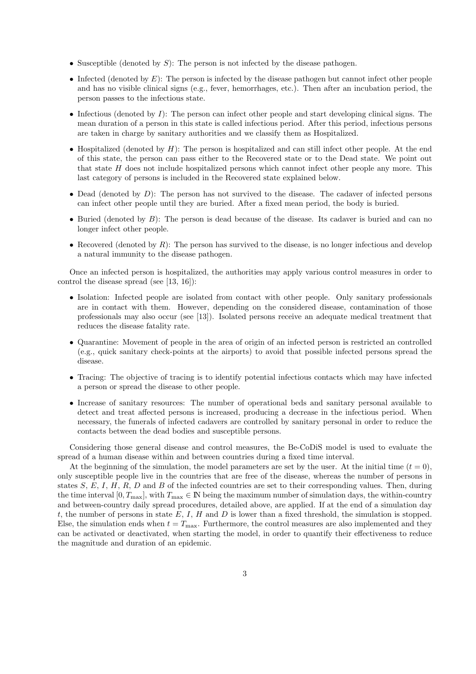- Susceptible (denoted by  $S$ ): The person is not infected by the disease pathogen.
- Infected (denoted by  $E$ ): The person is infected by the disease pathogen but cannot infect other people and has no visible clinical signs (e.g., fever, hemorrhages, etc.). Then after an incubation period, the person passes to the infectious state.
- Infectious (denoted by  $I$ ): The person can infect other people and start developing clinical signs. The mean duration of a person in this state is called infectious period. After this period, infectious persons are taken in charge by sanitary authorities and we classify them as Hospitalized.
- Hospitalized (denoted by  $H$ ): The person is hospitalized and can still infect other people. At the end of this state, the person can pass either to the Recovered state or to the Dead state. We point out that state  $H$  does not include hospitalized persons which cannot infect other people any more. This last category of persons is included in the Recovered state explained below.
- Dead (denoted by  $D$ ): The person has not survived to the disease. The cadaver of infected persons can infect other people until they are buried. After a fixed mean period, the body is buried.
- Buried (denoted by  $B$ ): The person is dead because of the disease. Its cadaver is buried and can no longer infect other people.
- Recovered (denoted by  $R$ ): The person has survived to the disease, is no longer infectious and develop a natural immunity to the disease pathogen.

Once an infected person is hospitalized, the authorities may apply various control measures in order to control the disease spread (see [13, 16]):

- Isolation: Infected people are isolated from contact with other people. Only sanitary professionals are in contact with them. However, depending on the considered disease, contamination of those professionals may also occur (see [13]). Isolated persons receive an adequate medical treatment that reduces the disease fatality rate.
- Quarantine: Movement of people in the area of origin of an infected person is restricted an controlled (e.g., quick sanitary check-points at the airports) to avoid that possible infected persons spread the disease.
- Tracing: The objective of tracing is to identify potential infectious contacts which may have infected a person or spread the disease to other people.
- Increase of sanitary resources: The number of operational beds and sanitary personal available to detect and treat affected persons is increased, producing a decrease in the infectious period. When necessary, the funerals of infected cadavers are controlled by sanitary personal in order to reduce the contacts between the dead bodies and susceptible persons.

Considering those general disease and control measures, the Be-CoDiS model is used to evaluate the spread of a human disease within and between countries during a fixed time interval.

At the beginning of the simulation, the model parameters are set by the user. At the initial time  $(t = 0)$ , only susceptible people live in the countries that are free of the disease, whereas the number of persons in states  $S, E, I, H, R, D$  and  $B$  of the infected countries are set to their corresponding values. Then, during the time interval  $[0, T_{\text{max}}]$ , with  $T_{\text{max}} \in \mathbb{N}$  being the maximum number of simulation days, the within-country and between-country daily spread procedures, detailed above, are applied. If at the end of a simulation day t, the number of persons in state  $E, I, H$  and  $D$  is lower than a fixed threshold, the simulation is stopped. Else, the simulation ends when  $t = T_{\text{max}}$ . Furthermore, the control measures are also implemented and they can be activated or deactivated, when starting the model, in order to quantify their effectiveness to reduce the magnitude and duration of an epidemic.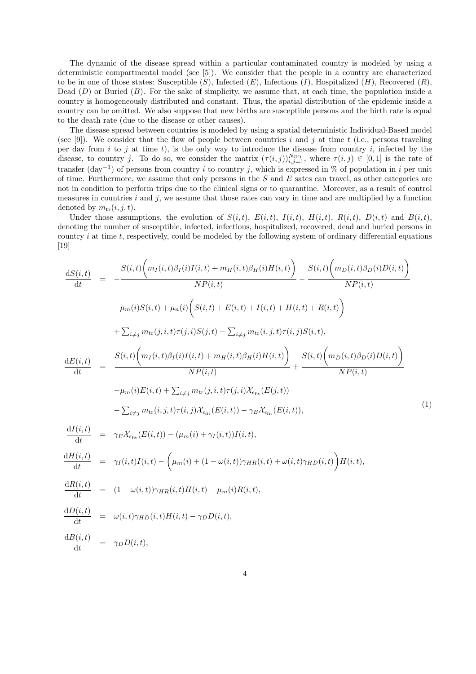The dynamic of the disease spread within a particular contaminated country is modeled by using a deterministic compartmental model (see [5]). We consider that the people in a country are characterized to be in one of those states: Susceptible  $(S)$ , Infected  $(E)$ , Infectious  $(I)$ , Hospitalized  $(H)$ , Recovered  $(R)$ , Dead  $(D)$  or Buried  $(B)$ . For the sake of simplicity, we assume that, at each time, the population inside a country is homogeneously distributed and constant. Thus, the spatial distribution of the epidemic inside a country can be omitted. We also suppose that new births are susceptible persons and the birth rate is equal to the death rate (due to the disease or other causes).

The disease spread between countries is modeled by using a spatial deterministic Individual-Based model (see [9]). We consider that the flow of people between countries i and j at time t (i.e., persons traveling per day from  $i$  to  $j$  at time  $t$ ), is the only way to introduce the disease from country  $i$ , infected by the disease, to country j. To do so, we consider the matrix  $(\tau(i,j))_{i,j=1}^{N_{\text{CO}}}$ , where  $\tau(i,j) \in [0,1]$  is the rate of transfer (day<sup>-1</sup>) of persons from country *i* to country j, which is expressed in % of population in *i* per unit of time. Furthermore, we assume that only persons in the  $S$  and  $E$  sates can travel, as other categories are not in condition to perform trips due to the clinical signs or to quarantine. Moreover, as a result of control measures in countries  $i$  and  $j$ , we assume that those rates can vary in time and are multiplied by a function denoted by  $m_{\text{tr}}(i, j, t)$ .

Under those assumptions, the evolution of  $S(i, t)$ ,  $E(i, t)$ ,  $I(i, t)$ ,  $H(i, t)$ ,  $R(i, t)$ ,  $D(i, t)$  and  $B(i, t)$ , denoting the number of susceptible, infected, infectious, hospitalized, recovered, dead and buried persons in country  $i$  at time  $t$ , respectively, could be modeled by the following system of ordinary differential equations [19]

$$
\frac{dS(i,t)}{dt} = -\frac{S(i,t)\left(m_I(i,t)\beta_I(i)I(i,t) + m_I(i,t)\beta_I(i)H(i,t)\right)}{NP(i,t)} - \frac{S(i,t)\left(m_D(i,t)\beta_D(i)D(i,t)\right)}{NP(i,t)}
$$
\n
$$
-\mu_m(i)S(i,t) + \mu_n(i)\left(S(i,t) + E(i,t) + I(i,t) + H(i,t) + R(i,t)\right)
$$
\n
$$
+ \sum_{i \neq j} m_{tr}(j,i,t)\tau(j,i)S(j,t) - \sum_{i \neq j} m_{tr}(i,j,t)\tau(i,j)S(i,t),
$$
\n
$$
\frac{dE(i,t)}{dt} = \frac{S(i,t)\left(m_I(i,t)\beta_I(i)I(i,t) + m_I(i,t)\beta_I(i)H(i,t)\right)}{NP(i,t)} + \frac{S(i,t)\left(m_D(i,t)\beta_D(i)D(i,t)\right)}{NP(i,t)}
$$
\n
$$
-\mu_m(i)E(i,t) + \sum_{i \neq j} m_{tr}(j,i,t)\tau(j,i)X_{\epsilon_{fit}}(E(j,t))
$$
\n
$$
-\sum_{i \neq j} m_{tr}(i,j,t)\tau(i,j)X_{\epsilon_{fit}}(E(i,t)) - \gamma_E X_{\epsilon_{fit}}(E(i,t)),
$$
\n
$$
\frac{dI(i,t)}{dt} = \gamma_E X_{\epsilon_{fit}}(E(i,t)) - (\mu_m(i) + \gamma_I(i,t))I(i,t),
$$
\n
$$
\frac{dH(i,t)}{dt} = \gamma_I(i,t)I(i,t) - \left(\mu_m(i) + (1 - \omega(i,t))\gamma_{HR}(i,t) + \omega(i,t)\gamma_{HD}(i,t)\right)H(i,t),
$$
\n
$$
\frac{dR(i,t)}{dt} = (1 - \omega(i,t))\gamma_{HR}(i,t)H(i,t) - \gamma_D D(i,t),
$$
\n
$$
\frac{dI(i,t)}{dt} = \omega(i,t)\gamma_{HD}(i,t)H(i,t) - \gamma_D D(i,t),
$$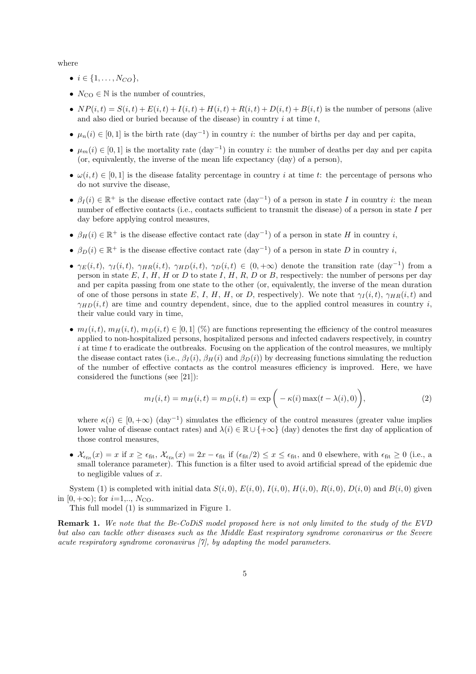where

- $i \in \{1, ..., N_{CO}\},\$
- $N_{\text{CO}} \in \mathbb{N}$  is the number of countries,
- $NP(i, t) = S(i, t) + E(i, t) + I(i, t) + H(i, t) + R(i, t) + D(i, t) + B(i, t)$  is the number of persons (alive and also died or buried because of the disease) in country  $i$  at time  $t$ ,
- $\mu_n(i) \in [0,1]$  is the birth rate  $(\text{day}^{-1})$  in country *i*: the number of births per day and per capita,
- $\mu_m(i) \in [0,1]$  is the mortality rate  $(\text{day}^{-1})$  in country *i*: the number of deaths per day and per capita (or, equivalently, the inverse of the mean life expectancy (day) of a person),
- $\omega(i, t) \in [0, 1]$  is the disease fatality percentage in country i at time t: the percentage of persons who do not survive the disease,
- $\beta_I(i) \in \mathbb{R}^+$  is the disease effective contact rate  $(\text{day}^{-1})$  of a person in state I in country i: the mean number of effective contacts (i.e., contacts sufficient to transmit the disease) of a person in state I per day before applying control measures,
- $\beta_H(i) \in \mathbb{R}^+$  is the disease effective contact rate  $(\text{day}^{-1})$  of a person in state H in country i,
- $\beta_D(i) \in \mathbb{R}^+$  is the disease effective contact rate  $(\text{day}^{-1})$  of a person in state D in country i,
- $\gamma_E(i,t)$ ,  $\gamma_I(i,t)$ ,  $\gamma_{HR}(i,t)$ ,  $\gamma_{HD}(i,t)$ ,  $\gamma_D(i,t) \in (0,+\infty)$  denote the transition rate  $(\text{day}^{-1})$  from a person in state  $E, I, H, H$  or  $D$  to state  $I, H, R, D$  or  $B$ , respectively: the number of persons per day and per capita passing from one state to the other (or, equivalently, the inverse of the mean duration of one of those persons in state E, I, H, H, or D, respectively). We note that  $\gamma_I(i, t)$ ,  $\gamma_{HR}(i, t)$  and  $\gamma_{HD}(i,t)$  are time and country dependent, since, due to the applied control measures in country i, their value could vary in time,
- $m_I(i, t), m_H(i, t), m_D(i, t) \in [0, 1]$  (%) are functions representing the efficiency of the control measures applied to non-hospitalized persons, hospitalized persons and infected cadavers respectively, in country  $i$  at time t to eradicate the outbreaks. Focusing on the application of the control measures, we multiply the disease contact rates (i.e.,  $\beta_I(i)$ ,  $\beta_H(i)$  and  $\beta_D(i)$ ) by decreasing functions simulating the reduction of the number of effective contacts as the control measures efficiency is improved. Here, we have considered the functions (see [21]):

$$
m_I(i,t) = m_H(i,t) = m_D(i,t) = \exp\bigg(-\kappa(i)\max(t - \lambda(i), 0)\bigg),\tag{2}
$$

where  $\kappa(i) \in [0, +\infty)$  (day<sup>-1</sup>) simulates the efficiency of the control measures (greater value implies lower value of disease contact rates) and  $\lambda(i) \in \mathbb{R} \cup \{+\infty\}$  (day) denotes the first day of application of those control measures,

•  $\mathcal{X}_{\epsilon_{\rm fit}}(x) = x$  if  $x \geq \epsilon_{\rm fit}$ ,  $\mathcal{X}_{\epsilon_{\rm fit}}(x) = 2x - \epsilon_{\rm fit}$  if  $(\epsilon_{\rm fit}/2) \leq x \leq \epsilon_{\rm fit}$ , and 0 elsewhere, with  $\epsilon_{\rm fit} \geq 0$  (i.e., a small tolerance parameter). This function is a filter used to avoid artificial spread of the epidemic due to negligible values of x.

System (1) is completed with initial data  $S(i, 0)$ ,  $E(i, 0)$ ,  $I(i, 0)$ ,  $H(i, 0)$ ,  $R(i, 0)$ ,  $D(i, 0)$  and  $B(i, 0)$  given in  $[0, +\infty)$ ; for  $i=1,..., N_{\text{CO}}$ .

This full model (1) is summarized in Figure 1.

Remark 1. We note that the Be-CoDiS model proposed here is not only limited to the study of the EVD but also can tackle other diseases such as the Middle East respiratory syndrome coronavirus or the Severe acute respiratory syndrome coronavirus [7], by adapting the model parameters.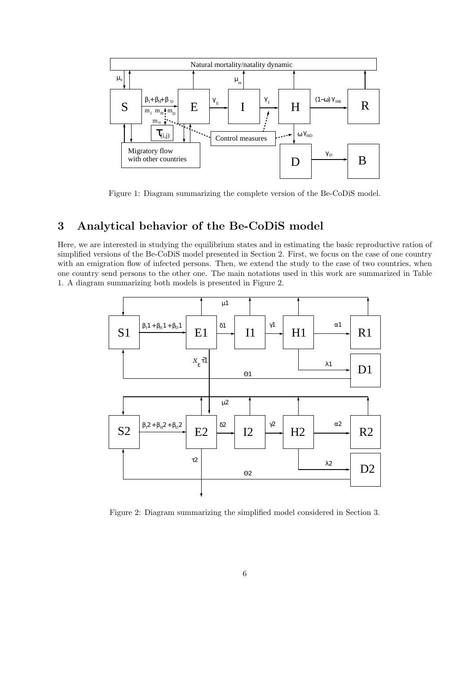

Figure 1: Diagram summarizing the complete version of the Be-CoDiS model.

## 3 Analytical behavior of the Be-CoDiS model

Here, we are interested in studying the equilibrium states and in estimating the basic reproductive ration of simplified versions of the Be-CoDiS model presented in Section 2. First, we focus on the case of one country with an emigration flow of infected persons. Then, we extend the study to the case of two countries, when one country send persons to the other one. The main notations used in this work are summarized in Table 1. A diagram summarizing both models is presented in Figure 2.



Figure 2: Diagram summarizing the simplified model considered in Section 3.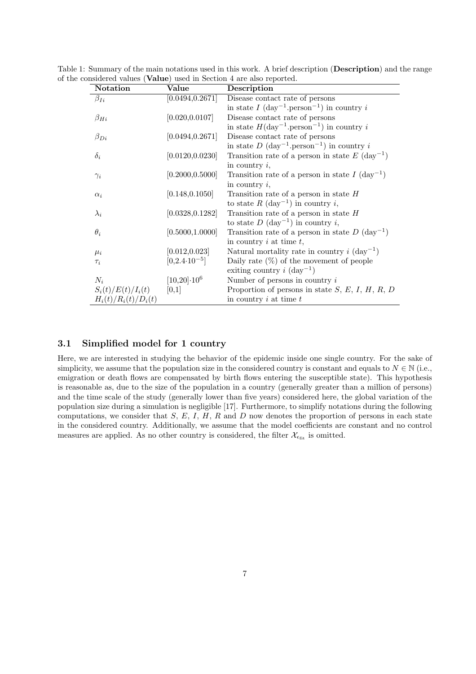| Notation               | Value                    | Description                                                          |
|------------------------|--------------------------|----------------------------------------------------------------------|
| $\beta_{Ii}$           | [0.0494, 0.2671]         | Disease contact rate of persons                                      |
|                        |                          | in state $I$ (day <sup>-1</sup> .person <sup>-1</sup> ) in country i |
| $\beta_{Hi}$           | [0.020, 0.0107]          | Disease contact rate of persons                                      |
|                        |                          | in state $H(day^{-1}.person^{-1})$ in country i                      |
| $\beta_{Di}$           | [0.0494, 0.2671]         | Disease contact rate of persons                                      |
|                        |                          | in state $D$ (day <sup>-1</sup> person <sup>-1</sup> ) in country i  |
| $\delta_i$             | [0.0120, 0.0230]         | Transition rate of a person in state $E$ (day <sup>-1</sup> )        |
|                        |                          | in country $i$ ,                                                     |
| $\gamma_i$             | [0.2000, 0.5000]         | Transition rate of a person in state $I(\text{day}^{-1})$            |
|                        |                          | in country $i$ ,                                                     |
| $\alpha_i$             | [0.148, 0.1050]          | Transition rate of a person in state $H$                             |
|                        |                          | to state R $(\text{day}^{-1})$ in country i,                         |
| $\lambda_i$            | [0.0328, 0.1282]         | Transition rate of a person in state $H$                             |
|                        |                          | to state $D$ (day <sup>-1</sup> ) in country i,                      |
| $\theta_i$             | [0.5000, 1.0000]         | Transition rate of a person in state $D(\text{day}^{-1})$            |
|                        |                          | in country $i$ at time $t$ ,                                         |
| $\mu_i$                | [0.012, 0.023]           | Natural mortality rate in country $i$ (day <sup>-1</sup> )           |
| $\tau_i$               | $[0, 2.4 \cdot 10^{-5}]$ | Daily rate $(\%)$ of the movement of people                          |
|                        |                          | exiting country $i \text{ (day}^{-1})$                               |
| $N_i$                  | $[10,20]\cdot 10^6$      | Number of persons in country $i$                                     |
| $S_i(t)/E(t)/I_i(t)$   | [0,1]                    | Proportion of persons in state $S, E, I, H, R, D$                    |
| $H_i(t)/R_i(t)/D_i(t)$ |                          | in country $i$ at time $t$                                           |

Table 1: Summary of the main notations used in this work. A brief description (Description) and the range of the considered values (Value) used in Section 4 are also reported.

#### 3.1 Simplified model for 1 country

Here, we are interested in studying the behavior of the epidemic inside one single country. For the sake of simplicity, we assume that the population size in the considered country is constant and equals to  $N \in \mathbb{N}$  (i.e., emigration or death flows are compensated by birth flows entering the susceptible state). This hypothesis is reasonable as, due to the size of the population in a country (generally greater than a million of persons) and the time scale of the study (generally lower than five years) considered here, the global variation of the population size during a simulation is negligible [17]. Furthermore, to simplify notations during the following computations, we consider that  $S, E, I, H, R$  and  $D$  now denotes the proportion of persons in each state in the considered country. Additionally, we assume that the model coefficients are constant and no control measures are applied. As no other country is considered, the filter  $\mathcal{X}_{\epsilon_{\text{fit}}}$  is omitted.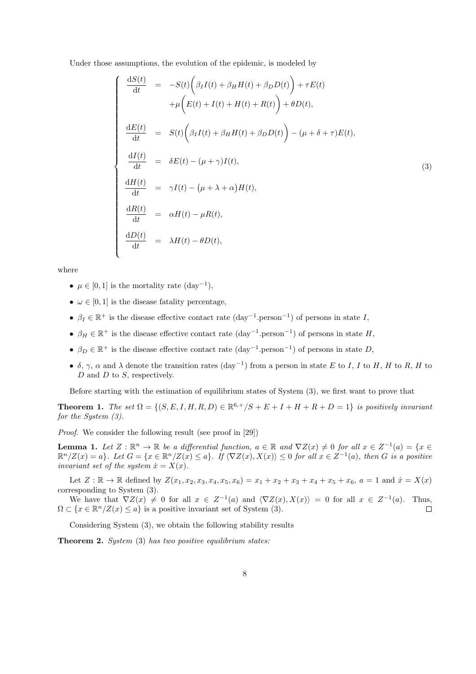Under those assumptions, the evolution of the epidemic, is modeled by

$$
\begin{cases}\n\frac{dS(t)}{dt} = -S(t)\left(\beta_I I(t) + \beta_H H(t) + \beta_D D(t)\right) + \tau E(t) \\
+ \mu \left(E(t) + I(t) + H(t) + R(t)\right) + \theta D(t), \\
\frac{dE(t)}{dt} = S(t)\left(\beta_I I(t) + \beta_H H(t) + \beta_D D(t)\right) - (\mu + \delta + \tau)E(t), \\
\frac{dI(t)}{dt} = \delta E(t) - (\mu + \gamma)I(t), \\
\frac{dH(t)}{dt} = \gamma I(t) - (\mu + \lambda + \alpha)H(t), \\
\frac{dR(t)}{dt} = \alpha H(t) - \mu R(t), \\
\frac{dD(t)}{dt} = \lambda H(t) - \theta D(t),\n\end{cases}
$$
\n(3)

where

- $\mu \in [0, 1]$  is the mortality rate  $(\text{day}^{-1}),$
- $\omega \in [0, 1]$  is the disease fatality percentage,
- $\beta_I \in \mathbb{R}^+$  is the disease effective contact rate  $(\text{day}^{-1}.\text{person}^{-1})$  of persons in state I,
- $\beta_H \in \mathbb{R}^+$  is the disease effective contact rate  $(\text{day}^{-1}.\text{person}^{-1})$  of persons in state H,
- $\beta_D \in \mathbb{R}^+$  is the disease effective contact rate  $(\text{day}^{-1}.\text{person}^{-1})$  of persons in state D,
- δ, γ,  $\alpha$  and  $\lambda$  denote the transition rates  $(\text{day}^{-1})$  from a person in state E to I, I to H, H to R, H to D and D to S, respectively.

Before starting with the estimation of equilibrium states of System (3), we first want to prove that

**Theorem 1.** The set  $\Omega = \{(S, E, I, H, R, D) \in \mathbb{R}^{6,+}/S + E + I + H + R + D = 1\}$  is positively invariant for the System (3).

Proof. We consider the following result (see proof in [29])

**Lemma 1.** Let  $Z : \mathbb{R}^n \to \mathbb{R}$  be a differential function,  $a \in \mathbb{R}$  and  $\nabla Z(x) \neq 0$  for all  $x \in Z^{-1}(a) = \{x \in \mathbb{R}^n : |f(x)| \leq 1\}$  $\mathbb{R}^n/Z(x) = a$ . Let  $G = \{x \in \mathbb{R}^n/Z(x) \le a\}$ . If  $\langle \nabla Z(x), X(x) \rangle \le 0$  for all  $x \in Z^{-1}(a)$ , then G is a positive invariant set of the system  $\dot{x} = X(x)$ .

Let  $Z : \mathbb{R} \to \mathbb{R}$  defined by  $Z(x_1, x_2, x_3, x_4, x_5, x_6) = x_1 + x_2 + x_3 + x_4 + x_5 + x_6$ ,  $a = 1$  and  $\dot{x} = X(x)$ corresponding to System (3).

We have that  $\nabla Z(x) \neq 0$  for all  $x \in Z^{-1}(a)$  and  $\langle \nabla Z(x), X(x) \rangle = 0$  for all  $x \in Z^{-1}(a)$ . Thus,  $\Omega \subset \{x \in \mathbb{R}^n/\mathbb{Z}(x) \leq a\}$  is a positive invariant set of System (3).  $\Box$ 

Considering System (3), we obtain the following stability results

Theorem 2. System (3) has two positive equilibrium states: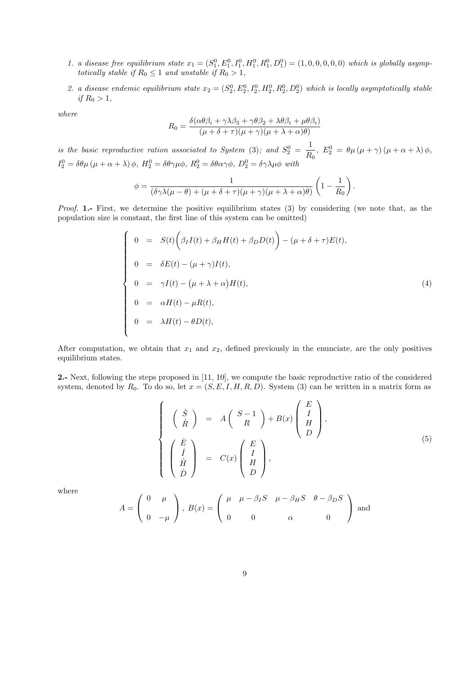- 1. a disease free equilibrium state  $x_1 = (S_1^0, E_1^0, I_1^0, H_1^0, R_1^0, D_1^0) = (1, 0, 0, 0, 0, 0)$  which is globally asymptotically stable if  $R_0 \leq 1$  and unstable if  $R_0 > 1$ ,
- 2. a disease endemic equilibrium state  $x_2 = (S_2^0, E_2^0, I_2^0, H_2^0, R_2^0, D_2^0)$  which is locally asymptotically stable if  $R_0 > 1$ ,

where

$$
R_0 = \frac{\delta(\alpha\theta\beta_i + \gamma\lambda\beta_3 + \gamma\theta\beta_2 + \lambda\theta\beta_i + \mu\theta\beta_i)}{(\mu + \delta + \tau)(\mu + \gamma)(\mu + \lambda + \alpha)\theta}
$$

is the basic reproductive ration associated to System (3); and  $S_2^0 = \frac{1}{R}$  $\frac{1}{R_0}$ ,  $E_2^0 = \theta \mu (\mu + \gamma) (\mu + \alpha + \lambda) \phi$ ,  $I_2^0 = \delta\theta\mu(\mu + \alpha + \lambda)\phi$ ,  $H_2^0 = \delta\theta\gamma\mu\phi$ ,  $R_2^0 = \delta\theta\alpha\gamma\phi$ ,  $D_2^0 = \delta\gamma\lambda\mu\phi$  with

$$
\phi = \frac{1}{(\delta \gamma \lambda (\mu - \theta) + (\mu + \delta + \tau)(\mu + \gamma)(\mu + \lambda + \alpha)\theta)} \left(1 - \frac{1}{R_0}\right).
$$

Proof. 1.- First, we determine the positive equilibrium states (3) by considering (we note that, as the population size is constant, the first line of this system can be omitted)

$$
\begin{cases}\n0 &= S(t) \bigg( \beta_I I(t) + \beta_H H(t) + \beta_D D(t) \bigg) - (\mu + \delta + \tau) E(t), \\
0 &= \delta E(t) - (\mu + \gamma) I(t), \\
0 &= \gamma I(t) - (\mu + \lambda + \alpha) H(t), \\
0 &= \alpha H(t) - \mu R(t), \\
0 &= \lambda H(t) - \theta D(t),\n\end{cases}
$$
\n(4)

After computation, we obtain that  $x_1$  and  $x_2$ , defined previously in the enunciate, are the only positives equilibrium states.

2.- Next, following the steps proposed in [11, 10], we compute the basic reproductive ratio of the considered system, denoted by  $R_0$ . To do so, let  $x = (S, E, I, H, R, D)$ . System (3) can be written in a matrix form as

$$
\begin{cases}\n\begin{pmatrix}\n\dot{S} \\
\dot{R}\n\end{pmatrix} & = & A\begin{pmatrix} S-1 \\ R \end{pmatrix} + B(x) \begin{pmatrix} E \\ I \\ H \\ D \end{pmatrix}, \\
\begin{pmatrix} \dot{E} \\
\dot{I} \\
\dot{B} \end{pmatrix} & = & C(x) \begin{pmatrix} E \\ I \\ H \\ D \end{pmatrix},\n\end{cases}
$$
\n(5)

where

$$
A = \begin{pmatrix} 0 & \mu \\ 0 & -\mu \end{pmatrix}, B(x) = \begin{pmatrix} \mu & \mu - \beta_I S & \mu - \beta_H S & \theta - \beta_D S \\ 0 & 0 & \alpha & 0 \end{pmatrix}
$$
 and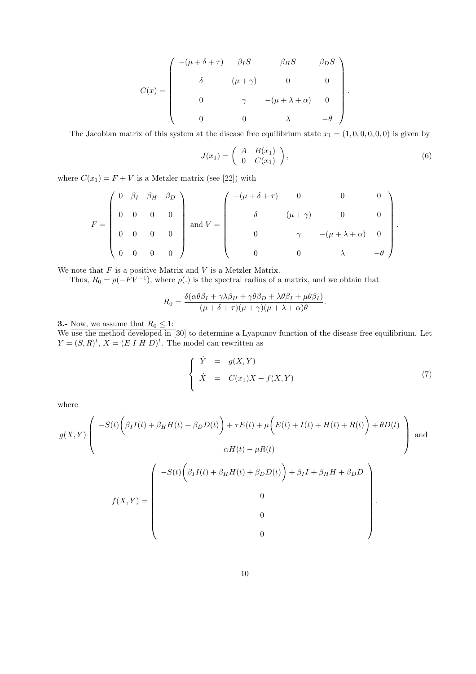$$
C(x) = \begin{pmatrix} -(\mu + \delta + \tau) & \beta_I S & \beta_H S & \beta_D S \\ \delta & (\mu + \gamma) & 0 & 0 \\ 0 & \gamma & -(\mu + \lambda + \alpha) & 0 \\ 0 & 0 & \lambda & -\theta \end{pmatrix}
$$

The Jacobian matrix of this system at the disease free equilibrium state  $x_1 = (1, 0, 0, 0, 0, 0)$  is given by

$$
J(x_1) = \begin{pmatrix} A & B(x_1) \\ 0 & C(x_1) \end{pmatrix}, \tag{6}
$$

.

where  $C(x_1) = F + V$  is a Metzler matrix (see [22]) with

$$
F = \begin{pmatrix} 0 & \beta_I & \beta_{H} & \beta_{D} \\ 0 & 0 & 0 & 0 \\ 0 & 0 & 0 & 0 \\ 0 & 0 & 0 & 0 \end{pmatrix} \text{ and } V = \begin{pmatrix} -(\mu + \delta + \tau) & 0 & 0 & 0 \\ \delta & (\mu + \gamma) & 0 & 0 \\ 0 & \gamma & -(\mu + \lambda + \alpha) & 0 \\ 0 & 0 & \lambda & -\theta \end{pmatrix}.
$$

We note that  $F$  is a positive Matrix and  $V$  is a Metzler Matrix.

Thus,  $R_0 = \rho(-FV^{-1})$ , where  $\rho(.)$  is the spectral radius of a matrix, and we obtain that

$$
R_0 = \frac{\delta(\alpha\theta\beta_I + \gamma\lambda\beta_H + \gamma\theta\beta_D + \lambda\theta\beta_I + \mu\theta\beta_I)}{(\mu + \delta + \tau)(\mu + \gamma)(\mu + \lambda + \alpha)\theta}.
$$

**3.-** Now, we assume that  $R_0 \leq 1$ :

We use the method developed in [30] to determine a Lyapunov function of the disease free equilibrium. Let  $Y = (S, R)^t$ ,  $X = (E \, I \, H \, D)^t$ . The model can rewritten as

$$
\begin{cases}\n\dot{Y} = g(X, Y) \\
\dot{X} = C(x_1)X - f(X, Y)\n\end{cases}
$$
\n(7)

where

$$
g(X,Y)\left(\begin{array}{c} -S(t)\left(\beta_I I(t) + \beta_H H(t) + \beta_D D(t)\right) + \tau E(t) + \mu\left(E(t) + I(t) + H(t) + R(t)\right) + \theta D(t) \\ \alpha H(t) - \mu R(t) \end{array}\right) \text{ and } \\ f(X,Y) = \left(\begin{array}{c} -S(t)\left(\beta_I I(t) + \beta_H H(t) + \beta_D D(t)\right) + \beta_I I + \beta_H H + \beta_D D \\ 0 \\ 0 \\ 0 \end{array}\right).
$$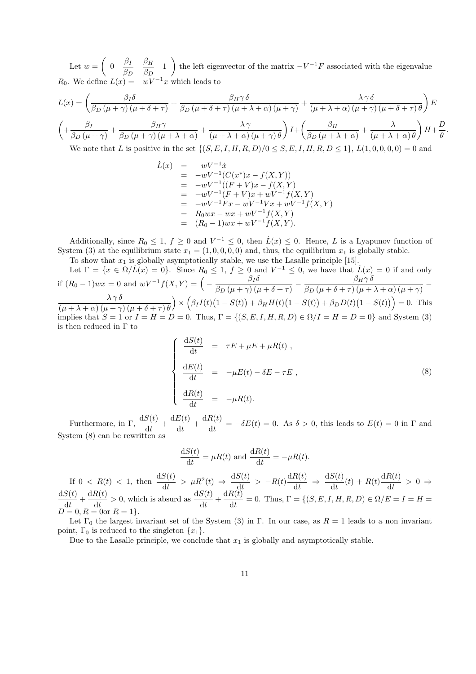Let  $w = \begin{pmatrix} 0 & \frac{\beta_I}{\beta_I} \end{pmatrix}$  $\beta_D$  $\beta_H$  $\frac{\beta_H}{\beta_D}$  1 ) the left eigenvector of the matrix  $-V^{-1}F$  associated with the eigenvalue  $R_0$ . We define  $L(x) = -wV^{-1}x$  which leads to

$$
L(x) = \left(\frac{\beta_I \delta}{\beta_D (\mu + \gamma)(\mu + \delta + \tau)} + \frac{\beta_H \gamma \delta}{\beta_D (\mu + \delta + \tau)(\mu + \lambda + \alpha)(\mu + \gamma)} + \frac{\lambda \gamma \delta}{(\mu + \lambda + \alpha)(\mu + \gamma)(\mu + \delta + \tau)\theta}\right) E
$$
  

$$
\left(\frac{\beta_I}{\beta_D (\mu + \gamma)} + \frac{\beta_H \gamma}{\beta_D (\mu + \gamma)(\mu + \lambda + \alpha)} + \frac{\lambda \gamma}{(\mu + \lambda + \alpha)(\mu + \gamma)\theta}\right) I + \left(\frac{\beta_H}{\beta_D (\mu + \lambda + \alpha)} + \frac{\lambda}{(\mu + \lambda + \alpha)\theta}\right) H + \frac{D}{\theta}.
$$

We note that L is positive in the set  $\{(S, E, I, H, R, D)/0 \leq S, E, I, H, R, D \leq 1\}$ ,  $L(1, 0, 0, 0, 0) = 0$  and

$$
\dot{L}(x) = -wV^{-1}\dot{x}
$$
\n
$$
= -wV^{-1}(C(x^*)x - f(X,Y))
$$
\n
$$
= -wV^{-1}((F+V)x - f(X,Y))
$$
\n
$$
= -wV^{-1}(F+V)x + wV^{-1}f(X,Y)
$$
\n
$$
= -wV^{-1}Fx - wV^{-1}Vx + wV^{-1}f(X,Y)
$$
\n
$$
= R_0wx - wx + wV^{-1}f(X,Y)
$$
\n
$$
= (R_0 - 1)wx + wV^{-1}f(X,Y).
$$

Additionally, since  $R_0 \leq 1, f \geq 0$  and  $V^{-1} \leq 0$ , then  $\dot{L}(x) \leq 0$ . Hence, L is a Lyapunov function of System (3) at the equilibrium state  $x_1 = (1, 0, 0, 0, 0)$  and, thus, the equilibrium  $x_1$  is globally stable.

To show that  $x_1$  is globally asymptotically stable, we use the Lasalle principle [15]. Let  $\Gamma = \{x \in \Omega/\tilde{L}(x) = 0\}$ . Since  $R_0 \leq 1, f \geq 0$  and  $V^{-1} \leq 0$ , we have that  $\tilde{L}(x) = 0$  if and only if  $(R_0 - 1)wx = 0$  and  $wV^{-1}f(X,Y) = \left(-\frac{\beta_I \delta}{\beta_I} \right)$  $\frac{\beta_H\delta}{\beta_D\left(\mu+\gamma\right)\left(\mu+\delta+\tau\right)}-\frac{\beta_H\gamma\,\delta}{\beta_D\left(\mu+\delta+\tau\right)\left(\mu+\gamma\right)}$  $\frac{\beta_H \gamma \delta}{\beta_D \left(\mu + \delta + \tau\right) \left(\mu + \lambda + \alpha\right) \left(\mu + \gamma\right)} \lambda$   $\gamma$   $\delta$  $(\mu + \lambda + \alpha) (\mu + \gamma) (\mu + \delta + \tau) \theta$  $\bigg(\beta_I I(t)(1-S(t))+\beta_H H(t)(1-S(t))+\beta_D D(t)(1-S(t))\bigg)=0.$  This implies that  $S = 1$  or  $I = H = D = 0$ . Thus,  $\Gamma = \{(S, E, I, H, R, D) \in \Omega / I = H = D = 0\}$  and System (3) is then reduced in  $\Gamma$  to

$$
\begin{cases}\n\frac{dS(t)}{dt} = \tau E + \mu E + \mu R(t), \\
\frac{dE(t)}{dt} = -\mu E(t) - \delta E - \tau E, \\
\frac{dR(t)}{dt} = -\mu R(t).\n\end{cases}
$$
\n(8)

Furthermore, in Γ,  $\frac{dS(t)}{dt} + \frac{dE(t)}{dt}$  $\frac{E(t)}{dt} + \frac{dR(t)}{dt}$  $\frac{\partial c(v)}{\partial t} = -\delta E(t) = 0$ . As  $\delta > 0$ , this leads to  $E(t) = 0$  in  $\Gamma$  and System (8) can be rewritten as

$$
\frac{\mathrm{d}S(t)}{\mathrm{d}t} = \mu R(t) \text{ and } \frac{\mathrm{d}R(t)}{\mathrm{d}t} = -\mu R(t).
$$

If  $0 \lt R(t) \lt 1$ , then  $\frac{dS(t)}{dt} > \mu R^2(t) \Rightarrow \frac{dS(t)}{dt}$  $\frac{S(t)}{\mathrm{d}t}$  >  $-R(t)\frac{\mathrm{d}R(t)}{\mathrm{d}t}$  $rac{R(t)}{dt}$   $\Rightarrow$   $rac{dS(t)}{dt}$  $\frac{S(t)}{\mathrm{d}t}(t) + R(t) \frac{\mathrm{d}R(t)}{\mathrm{d}t}$  $\frac{\partial c(t)}{\partial t} > 0 \Rightarrow$  $\mathrm{d}S(t)$  $\frac{S(t)}{dt} + \frac{dR(t)}{dt}$  $\frac{dR(t)}{dt} > 0$ , which is absurd as  $\frac{dS(t)}{dt} + \frac{dR(t)}{dt}$  $\frac{\partial S(S)}{\partial t} = 0$ . Thus,  $\Gamma = \{(S, E, I, H, R, D) \in \Omega / E = I = H =$  $D = 0, R = 0$ or  $R = 1$ .

Let  $\Gamma_0$  the largest invariant set of the System (3) in  $\Gamma$ . In our case, as  $R = 1$  leads to a non invariant point,  $\Gamma_0$  is reduced to the singleton  $\{x_1\}.$ 

Due to the Lasalle principle, we conclude that  $x_1$  is globally and asymptotically stable.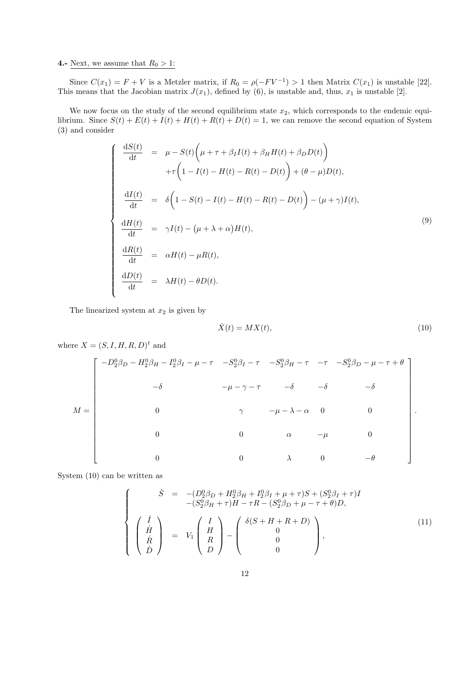#### 4.- Next, we assume that  $R_0 > 1$ :

Since  $C(x_1) = F + V$  is a Metzler matrix, if  $R_0 = \rho(-F V^{-1}) > 1$  then Matrix  $C(x_1)$  is unstable [22]. This means that the Jacobian matrix  $J(x_1)$ , defined by (6), is unstable and, thus,  $x_1$  is unstable [2].

We now focus on the study of the second equilibrium state  $x_2$ , which corresponds to the endemic equilibrium. Since  $S(t) + E(t) + I(t) + H(t) + R(t) + D(t) = 1$ , we can remove the second equation of System (3) and consider

$$
\begin{cases}\n\frac{dS(t)}{dt} = \mu - S(t) \left( \mu + \tau + \beta_I I(t) + \beta_H H(t) + \beta_D D(t) \right) \\
+ \tau \left( 1 - I(t) - H(t) - R(t) - D(t) \right) + (\theta - \mu) D(t), \\
\frac{dI(t)}{dt} = \delta \left( 1 - S(t) - I(t) - H(t) - R(t) - D(t) \right) - (\mu + \gamma) I(t), \\
\frac{dH(t)}{dt} = \gamma I(t) - (\mu + \lambda + \alpha) H(t), \\
\frac{dR(t)}{dt} = \alpha H(t) - \mu R(t), \\
\frac{dD(t)}{dt} = \lambda H(t) - \theta D(t).\n\end{cases}
$$
\n(9)

The linearized system at  $x_2$  is given by

$$
\dot{X}(t) = MX(t),\tag{10}
$$

where  $X = (S, I, H, R, D)<sup>t</sup>$  and

$$
M = \begin{bmatrix} -D_2^0 \beta_D - H_2^0 \beta_H - I_2^0 \beta_I - \mu - \tau & -S_2^0 \beta_I - \tau & -S_2^0 \beta_H - \tau & -\tau & -S_2^0 \beta_D - \mu - \tau + \theta \\ & -\delta & -\mu - \gamma - \tau & -\delta & -\delta & -\delta \\ & & \gamma & -\mu - \lambda - \alpha & 0 & 0 \\ & & & 0 & \alpha & -\mu & 0 \\ & & & & 0 & \lambda & 0 & -\theta \end{bmatrix}.
$$

System (10) can be written as

$$
\begin{cases}\n\dot{S} = -(D_2^0 \beta_D + H_2^0 \beta_H + I_2^0 \beta_I + \mu + \tau) S + (S_2^0 \beta_I + \tau) I \\
-(S_2^0 \beta_H + \tau) H - \tau R - (S_2^0 \beta_D + \mu - \tau + \theta) D, \\
\dot{H} \\
\dot{R} \\
\dot{D}\n\end{cases}
$$
\n(11)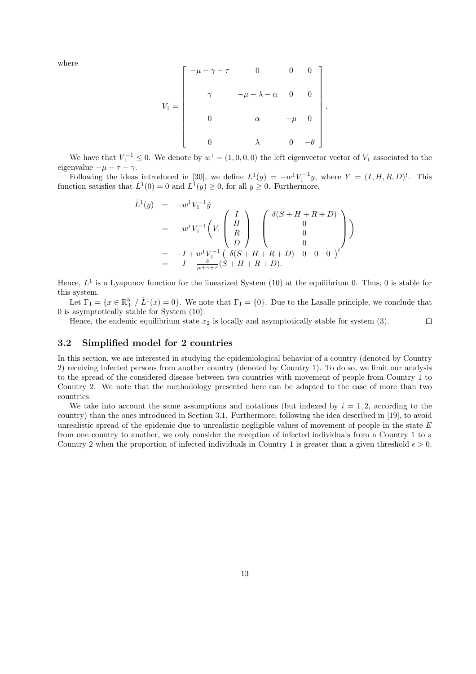where

$$
V_1 = \begin{bmatrix} -\mu - \gamma - \tau & 0 & 0 & 0 \\ & \gamma & -\mu - \lambda - \alpha & 0 & 0 \\ & & \alpha & -\mu & 0 \\ & 0 & \lambda & 0 & -\theta \end{bmatrix}
$$

.

We have that  $V_1^{-1} \leq 0$ . We denote by  $w^1 = (1, 0, 0, 0)$  the left eigenvector vector of  $V_1$  associated to the eigenvalue  $-\mu - \tau - \gamma$ .

Following the ideas introduced in [30], we define  $L^1(y) = -w^1 V_1^{-1}y$ , where  $Y = (I, H, R, D)^t$ . This function satisfies that  $L^1(0) = 0$  and  $L^1(y) \geq 0$ , for all  $y \geq 0$ . Furthermore,

$$
\dot{L}^{1}(y) = -w^{1}V_{1}^{-1}\dot{y}
$$
\n
$$
= -w^{1}V_{1}^{-1}\left(V_{1}\begin{pmatrix} I \\ H \\ R \\ D \end{pmatrix} - \begin{pmatrix} \delta(S+H+R+D) \\ 0 \\ 0 \\ 0 \end{pmatrix}\right)
$$
\n
$$
= -I + w^{1}V_{1}^{-1}\left(\delta(S+H+R+D) \quad 0 \quad 0 \quad 0 \right)^{t}
$$
\n
$$
= -I - \frac{\delta(S+H+R+D)}{\mu+\gamma+\tau}(S+H+R+D).
$$

Hence,  $L^1$  is a Lyapunov function for the linearized System (10) at the equilibrium 0. Thus, 0 is stable for this system.

Let  $\Gamma_1 = \{x \in \mathbb{R}^5_+ \mid L^1(x) = 0\}$ . We note that  $\Gamma_1 = \{0\}$ . Due to the Lasalle principle, we conclude that 0 is asymptotically stable for System (10).

Hence, the endemic equilibrium state  $x_2$  is locally and asymptotically stable for system (3).  $\Box$ 

#### 3.2 Simplified model for 2 countries

In this section, we are interested in studying the epidemiological behavior of a country (denoted by Country 2) receiving infected persons from another country (denoted by Country 1). To do so, we limit our analysis to the spread of the considered disease between two countries with movement of people from Country 1 to Country 2. We note that the methodology presented here can be adapted to the case of more than two countries.

We take into account the same assumptions and notations (but indexed by  $i = 1, 2$ , according to the country) than the ones introduced in Section 3.1. Furthermore, following the idea described in [19], to avoid unrealistic spread of the epidemic due to unrealistic negligible values of movement of people in the state  $E$ from one country to another, we only consider the reception of infected individuals from a Country 1 to a Country 2 when the proportion of infected individuals in Country 1 is greater than a given threshold  $\epsilon > 0$ .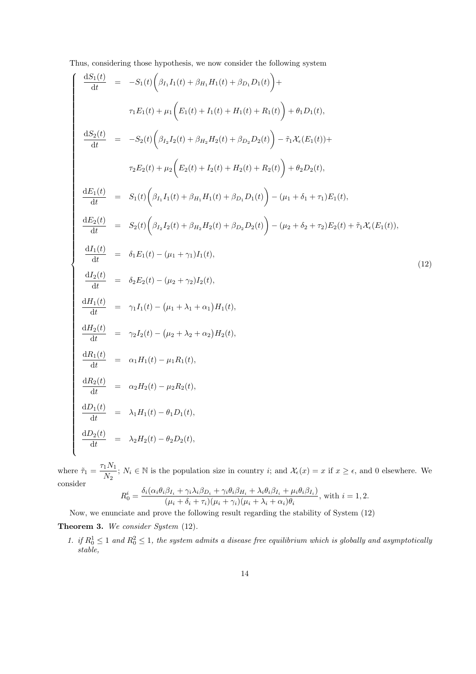Thus, considering those hypothesis, we now consider the following system

$$
\begin{cases}\n\frac{dS_1(t)}{dt} = -S_1(t)\left(\beta_{I_1}I_1(t) + \beta_{H_1}H_1(t) + \beta_{D_1}D_1(t)\right) + \\
\tau_1E_1(t) + \mu_1\left(E_1(t) + I_1(t) + H_1(t) + R_1(t)\right) + \theta_1D_1(t), \\
\frac{dS_2(t)}{dt} = -S_2(t)\left(\beta_{I_2}I_2(t) + \beta_{H_2}H_2(t) + \beta_{D_2}D_2(t)\right) - \tilde{\tau}_1X_c(E_1(t)) + \\
\tau_2E_2(t) + \mu_2\left(E_2(t) + I_2(t) + H_2(t) + R_2(t)\right) + \theta_2D_2(t), \\
\frac{dE_1(t)}{dt} = S_1(t)\left(\beta_{I_1}I_1(t) + \beta_{H_1}H_1(t) + \beta_{D_1}D_1(t)\right) - (\mu_1 + \delta_1 + \tau_1)E_1(t), \\
\frac{dE_2(t)}{dt} = S_2(t)\left(\beta_{I_2}I_2(t) + \beta_{H_2}H_2(t) + \beta_{D_2}D_2(t)\right) - (\mu_2 + \delta_2 + \tau_2)E_2(t) + \tilde{\tau}_1X_c(E_1(t)), \\
\frac{dI_1(t)}{dt} = \delta_1E_1(t) - (\mu_1 + \gamma_1)I_1(t), \\
\frac{dI_2(t)}{dt} = \delta_2E_2(t) - (\mu_2 + \gamma_2)I_2(t), \\
\frac{dH_2(t)}{dt} = \gamma_1I_1(t) - (\mu_1 + \lambda_1 + \alpha_1)H_1(t), \\
\frac{dH_2(t)}{dt} = \gamma_2I_2(t) - (\mu_2 + \lambda_2 + \alpha_2)H_2(t), \\
\frac{dR_1(t)}{dt} = \alpha_1H_1(t) - \mu_1R_1(t), \\
\frac{dR_2(t)}{dt} = \lambda_2H_2(t) - \theta_2D_2(t), \\
\frac{dD_1(t)}{dt} = \lambda_2H_2(t) - \theta_2D_2(t), \\
\frac{dD_2(t)}{dt} = \lambda_2H_2(t) - \theta_2D_2(t),\n\end{cases}
$$

where  $\tilde{\tau}_1 = \frac{\tau_1 N_1}{N}$  $\frac{1}{N_2}$ ;  $N_i \in \mathbb{N}$  is the population size in country *i*; and  $\mathcal{X}_{\epsilon}(x) = x$  if  $x \geq \epsilon$ , and 0 elsewhere. We consider

$$
R_0^i = \frac{\delta_i(\alpha_i \theta_i \beta_{I_i} + \gamma_i \lambda_i \beta_{D_i} + \gamma_i \theta_i \beta_{H_i} + \lambda_i \theta_i \beta_{I_i} + \mu_i \theta_i \beta_{I_i})}{(\mu_i + \delta_i + \tau_i)(\mu_i + \gamma_i)(\mu_i + \lambda_i + \alpha_i)\theta_i},
$$
 with  $i = 1, 2$ .

Now, we enunciate and prove the following result regarding the stability of System (12)

Theorem 3. We consider System (12).

1. if  $R_0^1 \leq 1$  and  $R_0^2 \leq 1$ , the system admits a disease free equilibrium which is globally and asymptotically stable,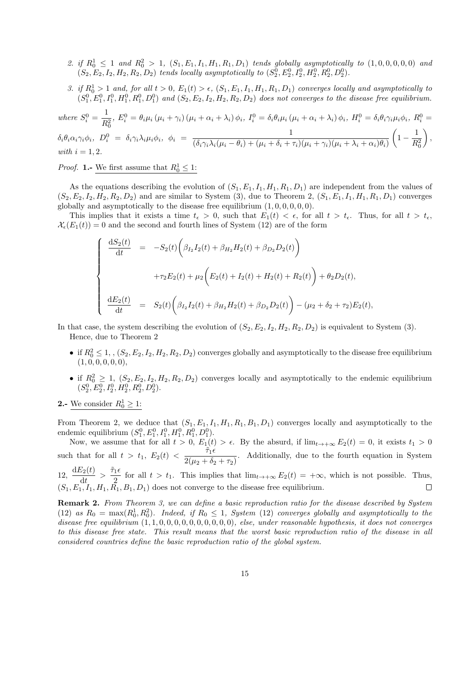- 2. if  $R_0^1 \leq 1$  and  $R_0^2 > 1$ ,  $(S_1, E_1, I_1, H_1, R_1, D_1)$  tends globally asymptotically to  $(1, 0, 0, 0, 0, 0)$  and  $(S_2, E_2, I_2, H_2, R_2, D_2)$  tends locally asymptotically to  $(S_2^0, E_2^0, I_2^0, H_2^0, R_2^0, D_2^0)$ .
- 3. if  $R_0^1 > 1$  and, for all  $t > 0$ ,  $E_1(t) > \epsilon$ ,  $(S_1, E_1, I_1, H_1, R_1, D_1)$  converges locally and asymptotically to  $(S_1^0, E_1^0, I_1^0, H_1^0, R_1^0, D_1^0)$  and  $(S_2, E_2, I_2, H_2, R_2, D_2)$  does not converges to the disease free equilibrium.

where 
$$
S_i^0 = \frac{1}{R_0^2}, E_i^0 = \theta_i \mu_i (\mu_i + \gamma_i) (\mu_i + \alpha_i + \lambda_i) \phi_i, I_i^0 = \delta_i \theta_i \mu_i (\mu_i + \alpha_i + \lambda_i) \phi_i, H_i^0 = \delta_i \theta_i \gamma_i \mu_i \phi_i, R_i^0 = \delta_i \theta_i \alpha_i \gamma_i \phi_i, D_i^0 = \delta_i \gamma_i \lambda_i \mu_i \phi_i, \phi_i = \frac{1}{(\delta_i \gamma_i \lambda_i (\mu_i - \theta_i) + (\mu_i + \delta_i + \tau_i) (\mu_i + \gamma_i) (\mu_i + \lambda_i + \alpha_i) \theta_i)} \left(1 - \frac{1}{R_0^2}\right),
$$

with 
$$
i = 1, 2
$$
.

*Proof.* **1.**- We first assume that  $R_0^1 \leq 1$ :

As the equations describing the evolution of  $(S_1, E_1, I_1, H_1, R_1, D_1)$  are independent from the values of  $(S_2, E_2, I_2, H_2, R_2, D_2)$  and are similar to System (3), due to Theorem 2,  $(S_1, E_1, I_1, H_1, R_1, D_1)$  converges globally and asymptotically to the disease free equilibrium  $(1, 0, 0, 0, 0, 0)$ .

This implies that it exists a time  $t_{\epsilon} > 0$ , such that  $E_1(t) < \epsilon$ , for all  $t > t_{\epsilon}$ . Thus, for all  $t > t_{\epsilon}$ ,  $\mathcal{X}_{\epsilon}(E_1(t)) = 0$  and the second and fourth lines of System (12) are of the form

$$
\begin{cases}\n\frac{dS_2(t)}{dt} = -S_2(t)\left(\beta_{I_2}I_2(t) + \beta_{H_2}H_2(t) + \beta_{D_2}D_2(t)\right) \\
+ \tau_2E_2(t) + \mu_2\left(E_2(t) + I_2(t) + H_2(t) + R_2(t)\right) + \theta_2D_2(t), \\
\frac{dE_2(t)}{dt} = S_2(t)\left(\beta_{I_2}I_2(t) + \beta_{H_2}H_2(t) + \beta_{D_2}D_2(t)\right) - (\mu_2 + \delta_2 + \tau_2)E_2(t),\n\end{cases}
$$

In that case, the system describing the evolution of  $(S_2, E_2, I_2, H_2, R_2, D_2)$  is equivalent to System (3). Hence, due to Theorem 2

- if  $R_0^2 \le 1$ ,  $(S_2, E_2, I_2, H_2, R_2, D_2)$  converges globally and asymptotically to the disease free equilibrium  $(1, 0, 0, 0, 0, 0),$
- if  $R_0^2 \geq 1$ ,  $(S_2, E_2, I_2, H_2, R_2, D_2)$  converges locally and asymptotically to the endemic equilibrium  $(S_2^0, E_2^0, I_2^0, H_2^0, R_2^0, D_2^0).$
- **2.-** We consider  $R_0^1 \geq 1$ :

From Theorem 2, we deduce that  $(S_1, E_1, I_1, H_1, R_1, B_1, D_1)$  converges locally and asymptotically to the endemic equilibrium  $(S_1^0, E_1^0, I_1^0, H_1^0, R_1^0, D_1^0)$ .

Now, we assume that for all  $t > 0$ ,  $E_1(t) > \epsilon$ . By the absurd, if  $\lim_{t\to+\infty} E_2(t) = 0$ , it exists  $t_1 > 0$ such that for all  $t > t_1$ ,  $E_2(t) < \frac{\tilde{\tau}_1 \epsilon}{2(1 + \epsilon)}$  $\frac{1}{2(\mu_2 + \delta_2 + \tau_2)}$ . Additionally, due to the fourth equation in System  $12, \frac{\mathrm{d}E_2(t)}{1}$  $\frac{\tilde{c}_2(t)}{\mathrm{d}t} > \frac{\tilde{\tau}_1\epsilon}{2}$  $\frac{1}{2}$  for all  $t > t_1$ . This implies that  $\lim_{t \to +\infty} E_2(t) = +\infty$ , which is not possible. Thus,  $(S_1, E_1, I_1, H_1, R_1, B_1, D_1)$  does not converge to the disease free equilibrium.

Remark 2. From Theorem 3, we can define a basic reproduction ratio for the disease described by System (12) as  $R_0 = \max(R_0^1, R_0^2)$ . Indeed, if  $R_0 \le 1$ , System (12) converges globally and asymptotically to the disease free equilibrium  $(1, 1, 0, 0, 0, 0, 0, 0, 0, 0, 0, 0)$ , else, under reasonable hypothesis, it does not converges to this disease free state. This result means that the worst basic reproduction ratio of the disease in all considered countries define the basic reproduction ratio of the global system.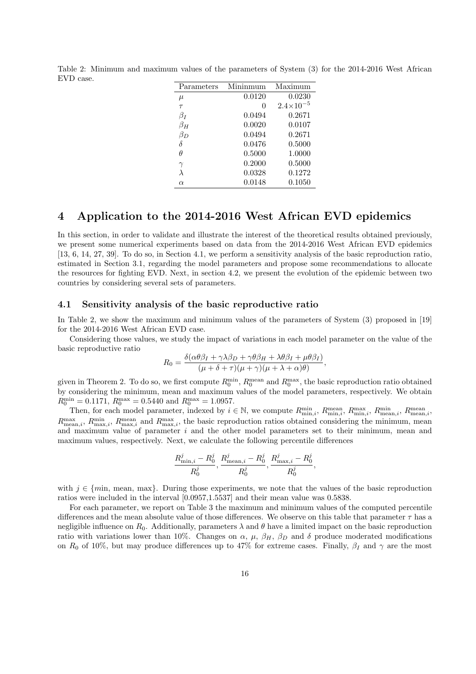| Parameters | Mininmum | Maximum            |
|------------|----------|--------------------|
| $\mu$      | 0.0120   | 0.0230             |
| $\tau$     |          | $2.4\times10^{-5}$ |
| $\beta_I$  | 0.0494   | 0.2671             |
| $\beta_H$  | 0.0020   | 0.0107             |
| $\beta_D$  | 0.0494   | 0.2671             |
| δ          | 0.0476   | 0.5000             |
| Ĥ          | 0.5000   | 1.0000             |
|            | 0.2000   | 0.5000             |
|            | 0.0328   | 0.1272             |
| $\alpha$   | 0.0148   | 0.1050             |
|            |          |                    |

Table 2: Minimum and maximum values of the parameters of System (3) for the 2014-2016 West African EVD case.

### 4 Application to the 2014-2016 West African EVD epidemics

In this section, in order to validate and illustrate the interest of the theoretical results obtained previously, we present some numerical experiments based on data from the 2014-2016 West African EVD epidemics [13, 6, 14, 27, 39]. To do so, in Section 4.1, we perform a sensitivity analysis of the basic reproduction ratio, estimated in Section 3.1, regarding the model parameters and propose some recommendations to allocate the resources for fighting EVD. Next, in section 4.2, we present the evolution of the epidemic between two countries by considering several sets of parameters.

#### 4.1 Sensitivity analysis of the basic reproductive ratio

In Table 2, we show the maximum and minimum values of the parameters of System (3) proposed in [19] for the 2014-2016 West African EVD case.

Considering those values, we study the impact of variations in each model parameter on the value of the basic reproductive ratio

$$
R_0 = \frac{\delta(\alpha\theta\beta_I + \gamma\lambda\beta_D + \gamma\theta\beta_H + \lambda\theta\beta_I + \mu\theta\beta_I)}{(\mu + \delta + \tau)(\mu + \gamma)(\mu + \lambda + \alpha)\theta},
$$

given in Theorem 2. To do so, we first compute  $R_0^{\text{min}}$ ,  $R_0^{\text{mean}}$  and  $R_0^{\text{max}}$ , the basic reproduction ratio obtained by considering the minimum, mean and maximum values of the model parameters, respectively. We obtain  $R_0^{\text{min}} = 0.1171, R_0^{\text{max}} = 0.5440 \text{ and } R_0^{\text{max}} = 1.0957.$ 

Then, for each model parameter, indexed by  $i \in \mathbb{N}$ , we compute  $R_{\min,i}^{\min}$ ,  $R_{\min,i}^{\max}$ ,  $R_{\min,i}^{\min}$ ,  $R_{\min,i}^{\min}$ ,  $R_{\min,i}^{\min}$ ,  $R_{\min,i}^{\min}$ ,  $R_{\min,i}^{\min}$ ,  $R_{\min,i}^{\min}$ ,  $R_{\min,i}^{\min}$ ,  $R_{\min,i}^{\min}$ ,  $R_{\min,i}^{\min}$ ,  $R_{\text{mean},i}^{\text{max}}, R_{\text{max},i}^{\text{mean}}$  and  $R_{\text{max},i}^{\text{max}}$ , the basic reproduction ratios obtained considering the minimum, mean and maximum value of parameter i and the other model parameters set to their minimum, mean and maximum values, respectively. Next, we calculate the following percentile differences

$$
\frac{R^j_{\min,i}-R^j_0}{R^j_0}, \frac{R^j_{\text{mean},i}-R^j_0}{R^j_0}, \frac{R^j_{\max,i}-R^j_0}{R^j_0},
$$

with  $j \in \{min, mean, max\}$ . During those experiments, we note that the values of the basic reproduction ratios were included in the interval [0.0957,1.5537] and their mean value was 0.5838.

For each parameter, we report on Table 3 the maximum and minimum values of the computed percentile differences and the mean absolute value of those differences. We observe on this table that parameter  $\tau$  has a negligible influence on  $R_0$ . Additionally, parameters  $\lambda$  and  $\theta$  have a limited impact on the basic reproduction ratio with variations lower than 10%. Changes on  $\alpha$ ,  $\mu$ ,  $\beta_H$ ,  $\beta_D$  and  $\delta$  produce moderated modifications on  $R_0$  of 10%, but may produce differences up to 47% for extreme cases. Finally,  $\beta_I$  and  $\gamma$  are the most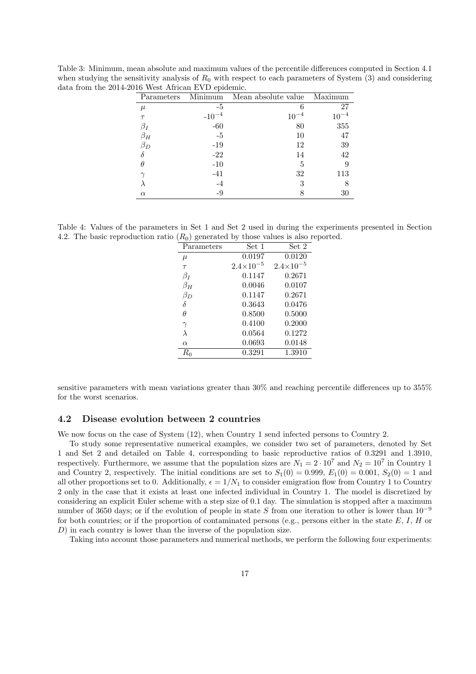| Parameters | Minimum    | Mean absolute value | Maximum |
|------------|------------|---------------------|---------|
| $\mu$      | -5         |                     | 27      |
| $\tau$     | $-10^{-4}$ |                     |         |
| βŗ         | $-60$      | 80                  | 355     |
| $\beta_H$  | $-5$       | 10                  | 47      |
| $\beta_D$  | $-19$      | 12                  | 39      |
|            | $-22$      | 14                  | 42      |
|            | $-10$      | 5                   |         |
|            | $-41$      | 32                  | 113     |
|            | $-4$       | 3                   |         |
| $\alpha$   | -9         |                     | 30      |

Table 3: Minimum, mean absolute and maximum values of the percentile differences computed in Section 4.1 when studying the sensitivity analysis of  $R_0$  with respect to each parameters of System (3) and considering data from the 2014-2016 West African EVD epidemic.

Table 4: Values of the parameters in Set 1 and Set 2 used in during the experiments presented in Section 4.2. The basic reproduction ratio  $(R_0)$  generated by those values is also reported.

| $\mathcal{L}_{\mathbf{U}}$ below the $\mathcal{L}_{\mathbf{U}}$ |                    | $\frac{1}{2}$        |
|-----------------------------------------------------------------|--------------------|----------------------|
| Parameters                                                      | Set 1              | Set 2                |
| $\mu$                                                           | 0.0197             | 0.0120               |
| $\tau$                                                          | $2.4\times10^{-5}$ | $2.4 \times 10^{-5}$ |
| $\beta_I$                                                       | 0.1147             | 0.2671               |
| $\beta_H$                                                       | 0.0046             | 0.0107               |
| $\beta_D$                                                       | 0.1147             | 0.2671               |
| δ                                                               | 0.3643             | 0.0476               |
| $\theta$                                                        | 0.8500             | 0.5000               |
| $\gamma$                                                        | 0.4100             | 0.2000               |
| $\lambda$                                                       | 0.0564             | 0.1272               |
| $\alpha$                                                        | 0.0693             | 0.0148               |
| $R_{0}$                                                         | 0.3291             | 1.3910               |
|                                                                 |                    |                      |

sensitive parameters with mean variations greater than 30% and reaching percentile differences up to 355% for the worst scenarios.

#### 4.2 Disease evolution between 2 countries

We now focus on the case of System (12), when Country 1 send infected persons to Country 2.

To study some representative numerical examples, we consider two set of parameters, denoted by Set 1 and Set 2 and detailed on Table 4, corresponding to basic reproductive ratios of 0.3291 and 1.3910, respectively. Furthermore, we assume that the population sizes are  $N_1 = 2 \cdot 10^7$  and  $N_2 = 10^7$  in Country 1 and Country 2, respectively. The initial conditions are set to  $S_1(0) = 0.999$ ,  $E_1(0) = 0.001$ ,  $S_2(0) = 1$  and all other proportions set to 0. Additionally,  $\epsilon = 1/N_1$  to consider emigration flow from Country 1 to Country 2 only in the case that it exists at least one infected individual in Country 1. The model is discretized by considering an explicit Euler scheme with a step size of 0.1 day. The simulation is stopped after a maximum number of 3650 days; or if the evolution of people in state S from one iteration to other is lower than  $10^{-9}$ for both countries; or if the proportion of contaminated persons (e.g., persons either in the state  $E, I, H$  or D) in each country is lower than the inverse of the population size.

Taking into account those parameters and numerical methods, we perform the following four experiments: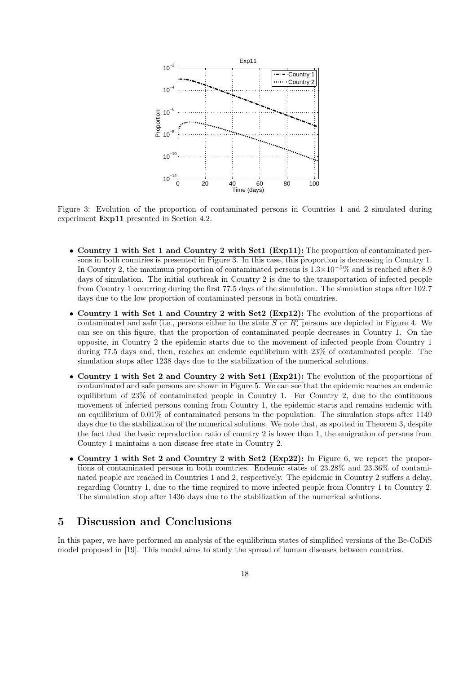

Figure 3: Evolution of the proportion of contaminated persons in Countries 1 and 2 simulated during experiment Exp11 presented in Section 4.2.

- Country 1 with Set 1 and Country 2 with Set 1 (Exp11): The proportion of contaminated persons in both countries is presented in Figure 3. In this case, this proportion is decreasing in Country 1. In Country 2, the maximum proportion of contaminated persons is  $1.3\times10^{-5}\%$  and is reached after 8.9 days of simulation. The initial outbreak in Country 2 is due to the transportation of infected people from Country 1 occurring during the first 77.5 days of the simulation. The simulation stops after 102.7 days due to the low proportion of contaminated persons in both countries.
- Country 1 with Set 1 and Country 2 with Set2 (Exp12): The evolution of the proportions of contaminated and safe (i.e., persons either in the state S or R) persons are depicted in Figure 4. We can see on this figure, that the proportion of contaminated people decreases in Country 1. On the opposite, in Country 2 the epidemic starts due to the movement of infected people from Country 1 during 77.5 days and, then, reaches an endemic equilibrium with 23% of contaminated people. The simulation stops after 1238 days due to the stabilization of the numerical solutions.
- Country 1 with Set 2 and Country 2 with Set1 (Exp21): The evolution of the proportions of contaminated and safe persons are shown in Figure 5. We can see that the epidemic reaches an endemic equilibrium of 23% of contaminated people in Country 1. For Country 2, due to the continuous movement of infected persons coming from Country 1, the epidemic starts and remains endemic with an equilibrium of 0.01% of contaminated persons in the population. The simulation stops after 1149 days due to the stabilization of the numerical solutions. We note that, as spotted in Theorem 3, despite the fact that the basic reproduction ratio of country 2 is lower than 1, the emigration of persons from Country 1 maintains a non disease free state in Country 2.
- Country 1 with Set 2 and Country 2 with Set2 (Exp22): In Figure 6, we report the proportions of contaminated persons in both countries. Endemic states of 23.28% and 23.36% of contaminated people are reached in Countries 1 and 2, respectively. The epidemic in Country 2 suffers a delay, regarding Country 1, due to the time required to move infected people from Country 1 to Country 2. The simulation stop after 1436 days due to the stabilization of the numerical solutions.

## 5 Discussion and Conclusions

In this paper, we have performed an analysis of the equilibrium states of simplified versions of the Be-CoDiS model proposed in [19]. This model aims to study the spread of human diseases between countries.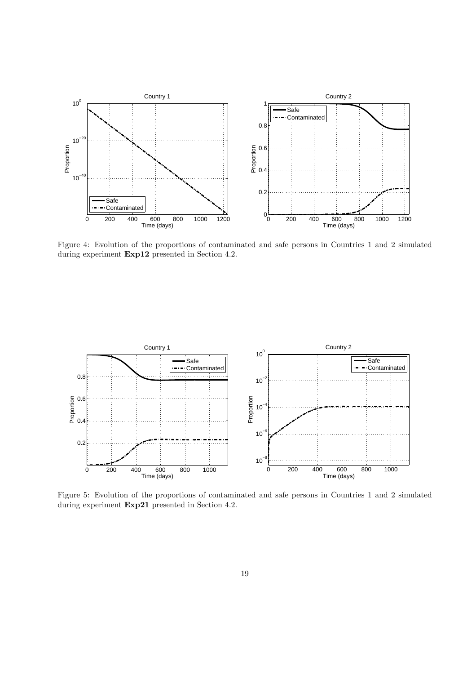

Figure 4: Evolution of the proportions of contaminated and safe persons in Countries 1 and 2 simulated during experiment Exp12 presented in Section 4.2.



Figure 5: Evolution of the proportions of contaminated and safe persons in Countries 1 and 2 simulated during experiment Exp21 presented in Section 4.2.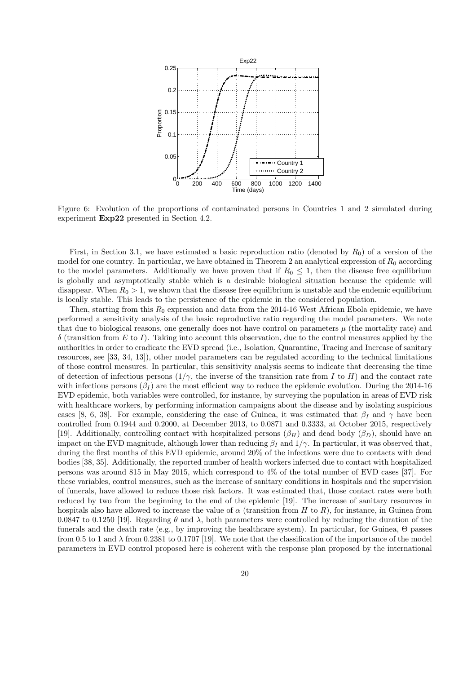

Figure 6: Evolution of the proportions of contaminated persons in Countries 1 and 2 simulated during experiment Exp22 presented in Section 4.2.

First, in Section 3.1, we have estimated a basic reproduction ratio (denoted by  $R_0$ ) of a version of the model for one country. In particular, we have obtained in Theorem 2 an analytical expression of  $R_0$  according to the model parameters. Additionally we have proven that if  $R_0 \leq 1$ , then the disease free equilibrium is globally and asymptotically stable which is a desirable biological situation because the epidemic will disappear. When  $R_0 > 1$ , we shown that the disease free equilibrium is unstable and the endemic equilibrium is locally stable. This leads to the persistence of the epidemic in the considered population.

Then, starting from this  $R_0$  expression and data from the 2014-16 West African Ebola epidemic, we have performed a sensitivity analysis of the basic reproductive ratio regarding the model parameters. We note that due to biological reasons, one generally does not have control on parameters  $\mu$  (the mortality rate) and  $\delta$  (transition from E to I). Taking into account this observation, due to the control measures applied by the authorities in order to eradicate the EVD spread (i.e., Isolation, Quarantine, Tracing and Increase of sanitary resources, see [33, 34, 13]), other model parameters can be regulated according to the technical limitations of those control measures. In particular, this sensitivity analysis seems to indicate that decreasing the time of detection of infectious persons  $(1/\gamma$ , the inverse of the transition rate from I to H) and the contact rate with infectious persons  $(\beta_I)$  are the most efficient way to reduce the epidemic evolution. During the 2014-16 EVD epidemic, both variables were controlled, for instance, by surveying the population in areas of EVD risk with healthcare workers, by performing information campaigns about the disease and by isolating suspicious cases [8, 6, 38]. For example, considering the case of Guinea, it was estimated that  $\beta_I$  and  $\gamma$  have been controlled from 0.1944 and 0.2000, at December 2013, to 0.0871 and 0.3333, at October 2015, respectively [19]. Additionally, controlling contact with hospitalized persons  $(\beta_H)$  and dead body  $(\beta_D)$ , should have an impact on the EVD magnitude, although lower than reducing  $\beta_I$  and  $1/\gamma$ . In particular, it was observed that, during the first months of this EVD epidemic, around 20% of the infections were due to contacts with dead bodies [38, 35]. Additionally, the reported number of health workers infected due to contact with hospitalized persons was around 815 in May 2015, which correspond to 4% of the total number of EVD cases [37]. For these variables, control measures, such as the increase of sanitary conditions in hospitals and the supervision of funerals, have allowed to reduce those risk factors. It was estimated that, those contact rates were both reduced by two from the beginning to the end of the epidemic [19]. The increase of sanitary resources in hospitals also have allowed to increase the value of  $\alpha$  (transition from H to R), for instance, in Guinea from 0.0847 to 0.1250 [19]. Regarding  $\theta$  and  $\lambda$ , both parameters were controlled by reducing the duration of the funerals and the death rate (e.g., by improving the healthcare system). In particular, for Guinea, Θ passes from 0.5 to 1 and  $\lambda$  from 0.2381 to 0.1707 [19]. We note that the classification of the importance of the model parameters in EVD control proposed here is coherent with the response plan proposed by the international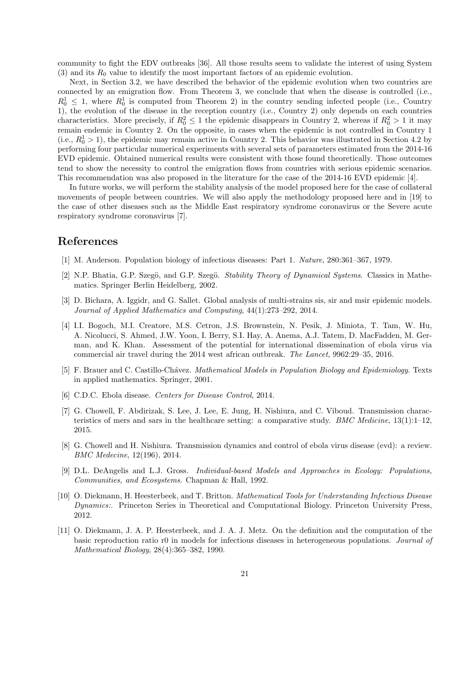community to fight the EDV outbreaks [36]. All those results seem to validate the interest of using System  $(3)$  and its  $R_0$  value to identify the most important factors of an epidemic evolution.

Next, in Section 3.2, we have described the behavior of the epidemic evolution when two countries are connected by an emigration flow. From Theorem 3, we conclude that when the disease is controlled (i.e.,  $R_0^1 \leq 1$ , where  $R_0^1$  is computed from Theorem 2) in the country sending infected people (i.e., Country 1), the evolution of the disease in the reception country (i.e., Country 2) only depends on each countries characteristics. More precisely, if  $R_0^2 \leq 1$  the epidemic disappears in Country 2, whereas if  $R_0^2 > 1$  it may remain endemic in Country 2. On the opposite, in cases when the epidemic is not controlled in Country 1 (i.e.,  $R_0^1 > 1$ ), the epidemic may remain active in Country 2. This behavior was illustrated in Section 4.2 by performing four particular numerical experiments with several sets of parameters estimated from the 2014-16 EVD epidemic. Obtained numerical results were consistent with those found theoretically. Those outcomes tend to show the necessity to control the emigration flows from countries with serious epidemic scenarios. This recommendation was also proposed in the literature for the case of the 2014-16 EVD epidemic [4].

In future works, we will perform the stability analysis of the model proposed here for the case of collateral movements of people between countries. We will also apply the methodology proposed here and in [19] to the case of other diseases such as the Middle East respiratory syndrome coronavirus or the Severe acute respiratory syndrome coronavirus [7].

## References

- [1] M. Anderson. Population biology of infectious diseases: Part 1. Nature, 280:361–367, 1979.
- [2] N.P. Bhatia, G.P. Szegö, and G.P. Szegö. Stability Theory of Dynamical Systems. Classics in Mathematics. Springer Berlin Heidelberg, 2002.
- [3] D. Bichara, A. Iggidr, and G. Sallet. Global analysis of multi-strains sis, sir and msir epidemic models. Journal of Applied Mathematics and Computing, 44(1):273–292, 2014.
- [4] I.I. Bogoch, M.I. Creatore, M.S. Cetron, J.S. Brownstein, N. Pesik, J. Miniota, T. Tam, W. Hu, A. Nicolucci, S. Ahmed, J.W. Yoon, I. Berry, S.I. Hay, A. Anema, A.J. Tatem, D. MacFadden, M. German, and K. Khan. Assessment of the potential for international dissemination of ebola virus via commercial air travel during the 2014 west african outbreak. The Lancet, 9962:29–35, 2016.
- [5] F. Brauer and C. Castillo-Chávez. Mathematical Models in Population Biology and Epidemiology. Texts in applied mathematics. Springer, 2001.
- [6] C.D.C. Ebola disease. Centers for Disease Control, 2014.
- [7] G. Chowell, F. Abdirizak, S. Lee, J. Lee, E. Jung, H. Nishiura, and C. Viboud. Transmission characteristics of mers and sars in the healthcare setting: a comparative study. *BMC Medicine*,  $13(1):1-12$ , 2015.
- [8] G. Chowell and H. Nishiura. Transmission dynamics and control of ebola virus disease (evd): a review. BMC Medecine, 12(196), 2014.
- [9] D.L. DeAngelis and L.J. Gross. Individual-based Models and Approaches in Ecology: Populations, Communities, and Ecosystems. Chapman & Hall, 1992.
- [10] O. Diekmann, H. Heesterbeek, and T. Britton. Mathematical Tools for Understanding Infectious Disease Dynamics:. Princeton Series in Theoretical and Computational Biology. Princeton University Press, 2012.
- [11] O. Diekmann, J. A. P. Heesterbeek, and J. A. J. Metz. On the definition and the computation of the basic reproduction ratio r0 in models for infectious diseases in heterogeneous populations. Journal of Mathematical Biology, 28(4):365–382, 1990.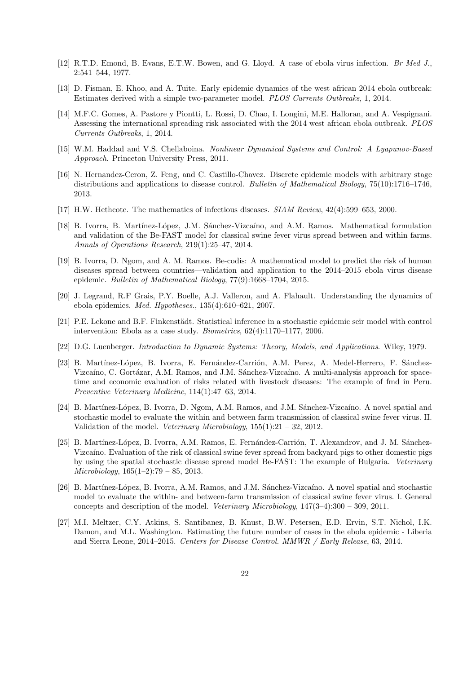- [12] R.T.D. Emond, B. Evans, E.T.W. Bowen, and G. Lloyd. A case of ebola virus infection. Br Med J., 2:541–544, 1977.
- [13] D. Fisman, E. Khoo, and A. Tuite. Early epidemic dynamics of the west african 2014 ebola outbreak: Estimates derived with a simple two-parameter model. PLOS Currents Outbreaks, 1, 2014.
- [14] M.F.C. Gomes, A. Pastore y Piontti, L. Rossi, D. Chao, I. Longini, M.E. Halloran, and A. Vespignani. Assessing the international spreading risk associated with the 2014 west african ebola outbreak. PLOS Currents Outbreaks, 1, 2014.
- [15] W.M. Haddad and V.S. Chellaboina. Nonlinear Dynamical Systems and Control: A Lyapunov-Based Approach. Princeton University Press, 2011.
- [16] N. Hernandez-Ceron, Z. Feng, and C. Castillo-Chavez. Discrete epidemic models with arbitrary stage distributions and applications to disease control. Bulletin of Mathematical Biology, 75(10):1716–1746, 2013.
- [17] H.W. Hethcote. The mathematics of infectious diseases. SIAM Review, 42(4):599–653, 2000.
- [18] B. Ivorra, B. Martínez-López, J.M. Sánchez-Vizcaíno, and A.M. Ramos. Mathematical formulation and validation of the Be-FAST model for classical swine fever virus spread between and within farms. Annals of Operations Research, 219(1):25–47, 2014.
- [19] B. Ivorra, D. Ngom, and A. M. Ramos. Be-codis: A mathematical model to predict the risk of human diseases spread between countries—validation and application to the 2014–2015 ebola virus disease epidemic. Bulletin of Mathematical Biology, 77(9):1668–1704, 2015.
- [20] J. Legrand, R.F Grais, P.Y. Boelle, A.J. Valleron, and A. Flahault. Understanding the dynamics of ebola epidemics. Med. Hypotheses., 135(4):610–621, 2007.
- [21] P.E. Lekone and B.F. Finkenstädt. Statistical inference in a stochastic epidemic seir model with control intervention: Ebola as a case study. Biometrics, 62(4):1170–1177, 2006.
- [22] D.G. Luenberger. Introduction to Dynamic Systems: Theory, Models, and Applications. Wiley, 1979.
- [23] B. Martínez-López, B. Ivorra, E. Fernández-Carrión, A.M. Perez, A. Medel-Herrero, F. Sánchez-Vizcaíno, C. Gortázar, A.M. Ramos, and J.M. Sánchez-Vizcaíno. A multi-analysis approach for spacetime and economic evaluation of risks related with livestock diseases: The example of fmd in Peru. Preventive Veterinary Medicine, 114(1):47–63, 2014.
- [24] B. Martínez-López, B. Ivorra, D. Ngom, A.M. Ramos, and J.M. Sánchez-Vizcaíno. A novel spatial and stochastic model to evaluate the within and between farm transmission of classical swine fever virus. II. Validation of the model. Veterinary Microbiology,  $155(1):21 - 32$ , 2012.
- [25] B. Martínez-López, B. Ivorra, A.M. Ramos, E. Fernández-Carrión, T. Alexandrov, and J. M. Sánchez-Vizcaíno. Evaluation of the risk of classical swine fever spread from backyard pigs to other domestic pigs by using the spatial stochastic disease spread model Be-FAST: The example of Bulgaria. Veterinary  $Microbiology, 165(1–2):79-85, 2013.$
- [26] B. Martínez-López, B. Ivorra, A.M. Ramos, and J.M. Sánchez-Vizcaíno. A novel spatial and stochastic model to evaluate the within- and between-farm transmission of classical swine fever virus. I. General concepts and description of the model. Veterinary Microbiology, 147(3–4):300 – 309, 2011.
- [27] M.I. Meltzer, C.Y. Atkins, S. Santibanez, B. Knust, B.W. Petersen, E.D. Ervin, S.T. Nichol, I.K. Damon, and M.L. Washington. Estimating the future number of cases in the ebola epidemic - Liberia and Sierra Leone, 2014–2015. Centers for Disease Control. MMWR / Early Release, 63, 2014.